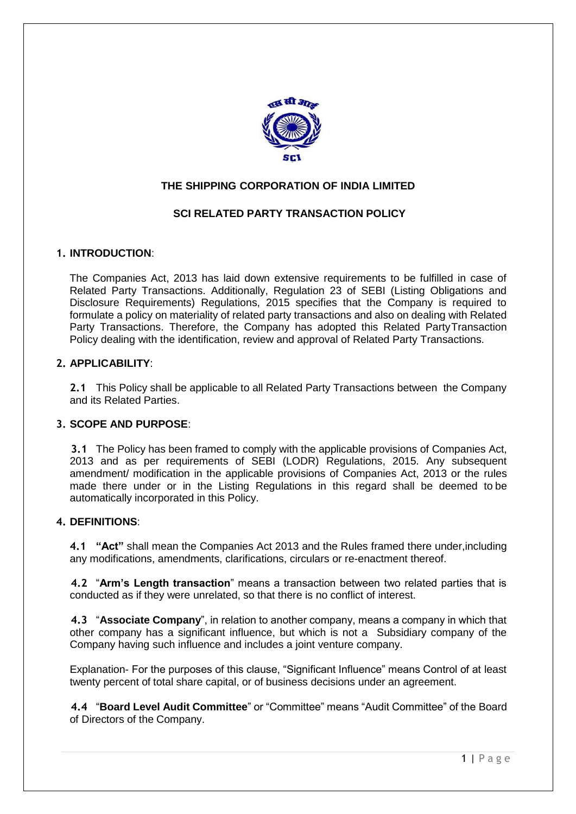

# **THE SHIPPING CORPORATION OF INDIA LIMITED**

# **SCI RELATED PARTY TRANSACTION POLICY**

### **1. INTRODUCTION**:

The Companies Act, 2013 has laid down extensive requirements to be fulfilled in case of Related Party Transactions. Additionally, Regulation 23 of SEBI (Listing Obligations and Disclosure Requirements) Regulations, 2015 specifies that the Company is required to formulate a policy on materiality of related party transactions and also on dealing with Related Party Transactions. Therefore, the Company has adopted this Related PartyTransaction Policy dealing with the identification, review and approval of Related Party Transactions.

### **2. APPLICABILITY**:

**2.1** This Policy shall be applicable to all Related Party Transactions between the Company and its Related Parties.

### **3. SCOPE AND PURPOSE**:

**3.1** The Policy has been framed to comply with the applicable provisions of Companies Act, 2013 and as per requirements of SEBI (LODR) Regulations, 2015. Any subsequent amendment/ modification in the applicable provisions of Companies Act, 2013 or the rules made there under or in the Listing Regulations in this regard shall be deemed to be automatically incorporated in this Policy.

### **4. DEFINITIONS**:

**4.1 "Act"** shall mean the Companies Act 2013 and the Rules framed there under,including any modifications, amendments, clarifications, circulars or re-enactment thereof.

**4.2** "**Arm's Length transaction**" means a transaction between two related parties that is conducted as if they were unrelated, so that there is no conflict of interest.

**4.3** "**Associate Company**", in relation to another company, means a company in which that other company has a significant influence, but which is not a Subsidiary company of the Company having such influence and includes a joint venture company.

Explanation- For the purposes of this clause, "Significant Influence" means Control of at least twenty percent of total share capital, or of business decisions under an agreement.

**4.4** "**Board Level Audit Committee**" or "Committee" means "Audit Committee" of the Board of Directors of the Company.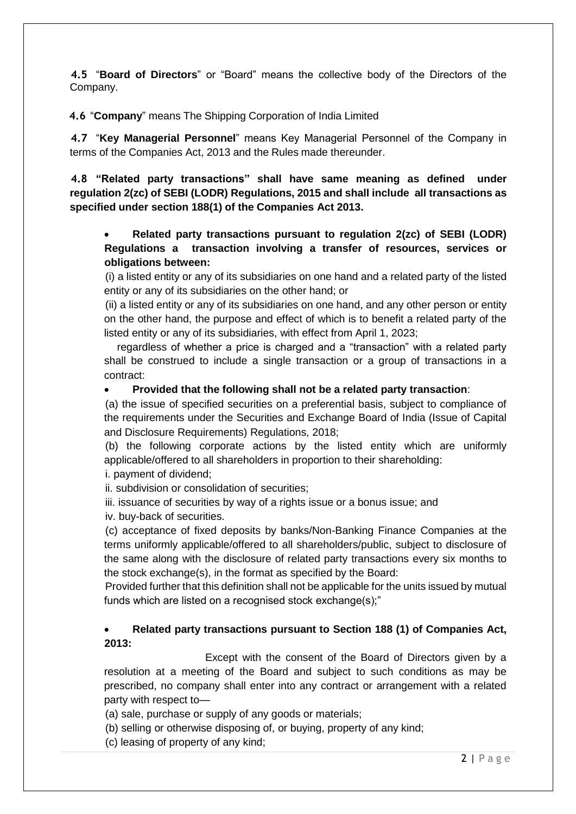**4.5** "**Board of Directors**" or "Board" means the collective body of the Directors of the Company.

**4.6** "**Company**" means The Shipping Corporation of India Limited

**4.7** "**Key Managerial Personnel**" means Key Managerial Personnel of the Company in terms of the Companies Act, 2013 and the Rules made thereunder.

**4.8 "Related party transactions" shall have same meaning as defined under regulation 2(zc) of SEBI (LODR) Regulations, 2015 and shall include all transactions as specified under section 188(1) of the Companies Act 2013.**

# **Related party transactions pursuant to regulation 2(zc) of SEBI (LODR) Regulations a transaction involving a transfer of resources, services or obligations between:**

(i) a listed entity or any of its subsidiaries on one hand and a related party of the listed entity or any of its subsidiaries on the other hand; or

(ii) a listed entity or any of its subsidiaries on one hand, and any other person or entity on the other hand, the purpose and effect of which is to benefit a related party of the listed entity or any of its subsidiaries, with effect from April 1, 2023;

 regardless of whether a price is charged and a "transaction" with a related party shall be construed to include a single transaction or a group of transactions in a contract:

## **Provided that the following shall not be a related party transaction**:

(a) the issue of specified securities on a preferential basis, subject to compliance of the requirements under the Securities and Exchange Board of India (Issue of Capital and Disclosure Requirements) Regulations, 2018;

(b) the following corporate actions by the listed entity which are uniformly applicable/offered to all shareholders in proportion to their shareholding:

i. payment of dividend;

ii. subdivision or consolidation of securities;

iii. issuance of securities by way of a rights issue or a bonus issue; and

iv. buy-back of securities.

(c) acceptance of fixed deposits by banks/Non-Banking Finance Companies at the terms uniformly applicable/offered to all shareholders/public, subject to disclosure of the same along with the disclosure of related party transactions every six months to the stock exchange(s), in the format as specified by the Board:

Provided further that this definition shall not be applicable for the units issued by mutual funds which are listed on a recognised stock exchange(s);"

# **Related party transactions pursuant to Section 188 (1) of Companies Act, 2013:**

Except with the consent of the Board of Directors given by a resolution at a meeting of the Board and subject to such conditions as may be prescribed, no company shall enter into any contract or arrangement with a related party with respect to—

(a) sale, purchase or supply of any goods or materials;

(b) selling or otherwise disposing of, or buying, property of any kind;

(c) leasing of property of any kind;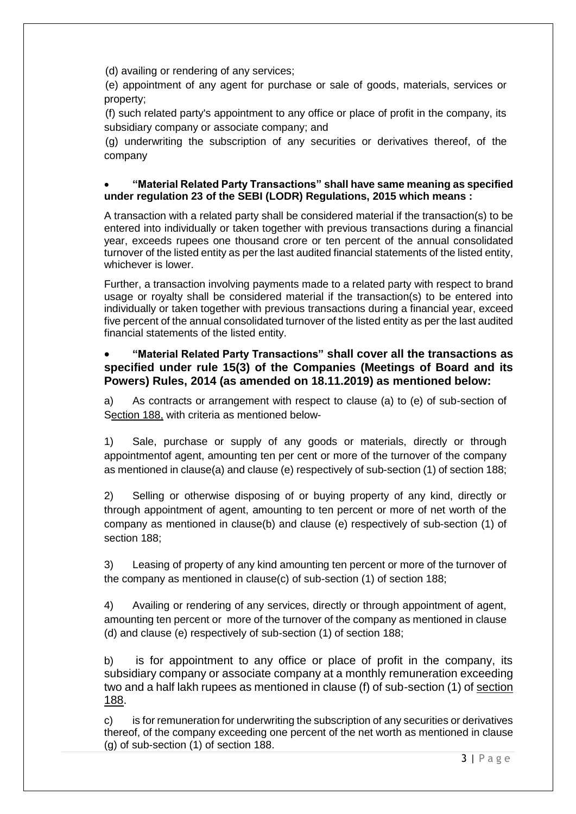(d) availing or rendering of any services;

(e) appointment of any agent for purchase or sale of goods, materials, services or property;

(f) such related party's appointment to any office or place of profit in the company, its subsidiary company or associate company; and

(g) underwriting the subscription of any securities or derivatives thereof, of the company

### **"Material Related Party Transactions" shall have same meaning as specified under regulation 23 of the SEBI (LODR) Regulations, 2015 which means :**

A transaction with a related party shall be considered material if the transaction(s) to be entered into individually or taken together with previous transactions during a financial year, exceeds rupees one thousand crore or ten percent of the annual consolidated turnover of the listed entity as per the last audited financial statements of the listed entity, whichever is lower.

Further, a transaction involving payments made to a related party with respect to brand usage or royalty shall be considered material if the transaction(s) to be entered into individually or taken together with previous transactions during a financial year, exceed five percent of the annual consolidated turnover of the listed entity as per the last audited financial statements of the listed entity.

# **"Material Related Party Transactions" shall cover all the transactions as specified under rule 15(3) of the Companies (Meetings of Board and its Powers) Rules, 2014 (as amended on 18.11.2019) as mentioned below:**

a) As contracts or arrangement with respect to clause (a) to (e) of sub-section of Section 188, with criteria as mentioned below-

1) Sale, purchase or supply of any goods or materials, directly or through appointmentof agent, amounting ten per cent or more of the turnover of the company as mentioned in clause(a) and clause (e) respectively of sub-section (1) of section 188;

2) Selling or otherwise disposing of or buying property of any kind, directly or through appointment of agent, amounting to ten percent or more of net worth of the company as mentioned in clause(b) and clause (e) respectively of sub-section (1) of section 188;

3) Leasing of property of any kind amounting ten percent or more of the turnover of the company as mentioned in clause(c) of sub-section (1) of section 188;

4) Availing or rendering of any services, directly or through appointment of agent, amounting ten percent or more of the turnover of the company as mentioned in clause (d) and clause (e) respectively of sub-section (1) of section 188;

b) is for appointment to any office or place of profit in the company, its subsidiary company or associate company at a monthly remuneration exceeding two and a half lakh rupees as mentioned in clause (f) of sub-section (1) of [section](http://ebook.mca.gov.in/Actpagedisplay.aspx?PAGENAME=17582)  [188.](http://ebook.mca.gov.in/Actpagedisplay.aspx?PAGENAME=17582)

c) is for remuneration for underwriting the subscription of any securities or derivatives thereof, of the company exceeding one percent of the net worth as mentioned in clause (g) of sub-section (1) of section 188.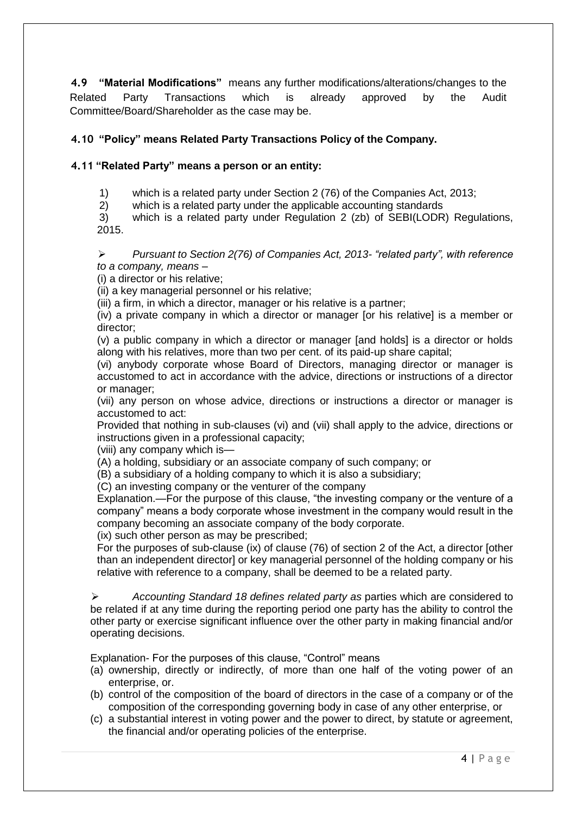**4.9 "Material Modifications"** means any further modifications/alterations/changes to the Related Party Transactions which is already approved by the Audit Committee/Board/Shareholder as the case may be.

# **4.10 "Policy" means Related Party Transactions Policy of the Company.**

## **4.11 "Related Party" means a person or an entity:**

1) which is a related party under Section 2 (76) of the Companies Act, 2013;

2) which is a related party under the applicable accounting standards

3) which is a related party under Regulation 2 (zb) of SEBI(LODR) Regulations, 2015.

 *Pursuant to Section 2(76) of Companies Act, 2013- "related party", with reference to a company, means –*

(i) a director or his relative;

(ii) a key managerial personnel or his relative;

(iii) a firm, in which a director, manager or his relative is a partner;

(iv) a private company in which a director or manager [or his relative] is a member or director;

(v) a public company in which a director or manager [and holds] is a director or holds along with his relatives, more than two per cent. of its paid-up share capital;

(vi) anybody corporate whose Board of Directors, managing director or manager is accustomed to act in accordance with the advice, directions or instructions of a director or manager;

(vii) any person on whose advice, directions or instructions a director or manager is accustomed to act:

Provided that nothing in sub-clauses (vi) and (vii) shall apply to the advice, directions or instructions given in a professional capacity;

(viii) any company which is—

(A) a holding, subsidiary or an associate company of such company; or

(B) a subsidiary of a holding company to which it is also a subsidiary;

(C) an investing company or the venturer of the company

Explanation.—For the purpose of this clause, "the investing company or the venture of a company" means a body corporate whose investment in the company would result in the company becoming an associate company of the body corporate.

(ix) such other person as may be prescribed;

For the purposes of sub-clause (ix) of clause (76) of section 2 of the Act, a director [other than an independent director] or key managerial personnel of the holding company or his relative with reference to a company, shall be deemed to be a related party.

 *Accounting Standard 18 defines related party as* parties which are considered to be related if at any time during the reporting period one party has the ability to control the other party or exercise significant influence over the other party in making financial and/or operating decisions.

Explanation- For the purposes of this clause, "Control" means

- (a) ownership, directly or indirectly, of more than one half of the voting power of an enterprise, or.
- (b) control of the composition of the board of directors in the case of a company or of the composition of the corresponding governing body in case of any other enterprise, or
- (c) a substantial interest in voting power and the power to direct, by statute or agreement, the financial and/or operating policies of the enterprise.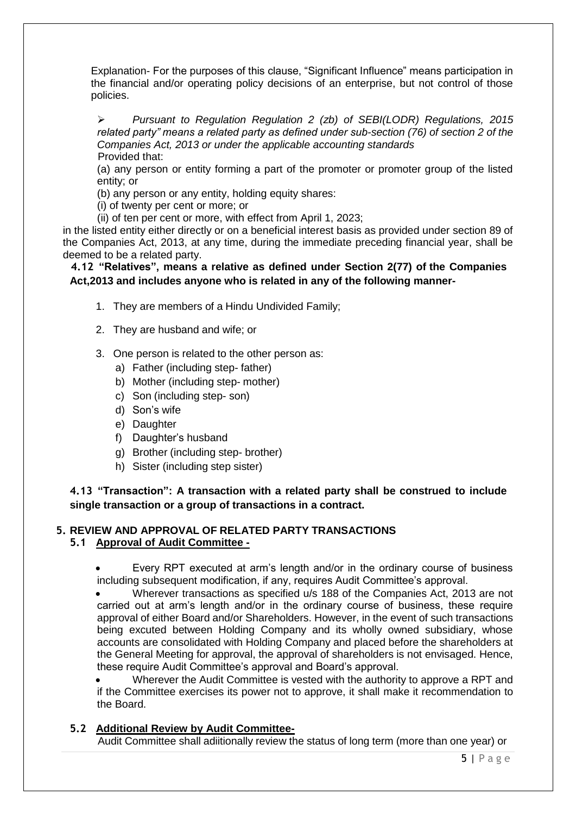Explanation- For the purposes of this clause, "Significant Influence" means participation in the financial and/or operating policy decisions of an enterprise, but not control of those policies.

 *Pursuant to Regulation Regulation 2 (zb) of SEBI(LODR) Regulations, 2015 related party" means a related party as defined under sub-section (76) of section 2 of the Companies Act, 2013 or under the applicable accounting standards* Provided that:

(a) any person or entity forming a part of the promoter or promoter group of the listed entity; or

(b) any person or any entity, holding equity shares:

(i) of twenty per cent or more; or

(ii) of ten per cent or more, with effect from April 1, 2023;

in the listed entity either directly or on a beneficial interest basis as provided under section 89 of the Companies Act, 2013, at any time, during the immediate preceding financial year, shall be deemed to be a related party.

**4.12 "Relatives", means a relative as defined under Section 2(77) of the Companies Act,2013 and includes anyone who is related in any of the following manner-**

- 1. They are members of a Hindu Undivided Family;
- 2. They are husband and wife; or
- 3. One person is related to the other person as:
	- a) Father (including step- father)
	- b) Mother (including step- mother)
	- c) Son (including step- son)
	- d) Son's wife
	- e) Daughter
	- f) Daughter's husband
	- g) Brother (including step- brother)
	- h) Sister (including step sister)

**4.13 "Transaction": A transaction with a related party shall be construed to include single transaction or a group of transactions in a contract.**

#### **5. REVIEW AND APPROVAL OF RELATED PARTY TRANSACTIONS 5.1 Approval of Audit Committee -**

 Every RPT executed at arm's length and/or in the ordinary course of business including subsequent modification, if any, requires Audit Committee's approval.

 Wherever transactions as specified u/s 188 of the Companies Act, 2013 are not carried out at arm's length and/or in the ordinary course of business, these require approval of either Board and/or Shareholders. However, in the event of such transactions being excuted between Holding Company and its wholly owned subsidiary, whose accounts are consolidated with Holding Company and placed before the shareholders at the General Meeting for approval, the approval of shareholders is not envisaged. Hence, these require Audit Committee's approval and Board's approval.

 Wherever the Audit Committee is vested with the authority to approve a RPT and if the Committee exercises its power not to approve, it shall make it recommendation to the Board.

### **5.2 Additional Review by Audit Committee-**

Audit Committee shall adiitionally review the status of long term (more than one year) or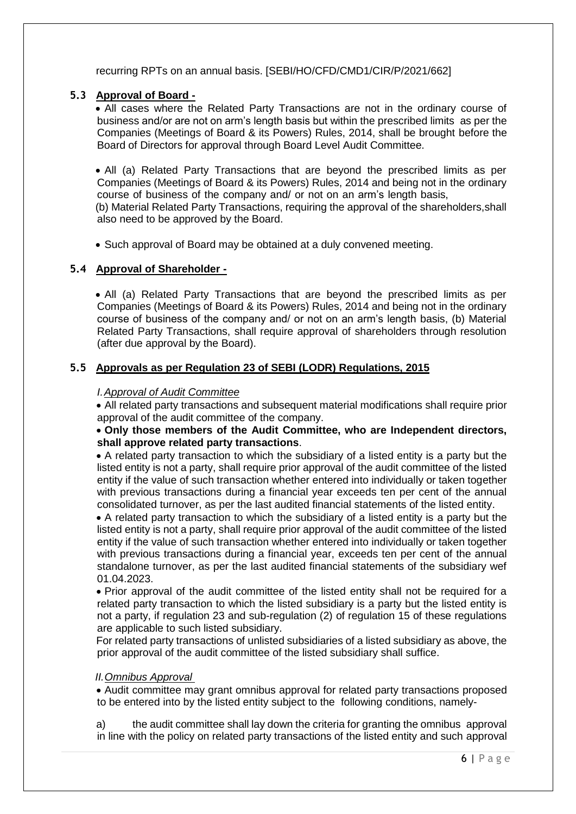recurring RPTs on an annual basis. [SEBI/HO/CFD/CMD1/CIR/P/2021/662]

## **5.3 Approval of Board -**

 All cases where the Related Party Transactions are not in the ordinary course of business and/or are not on arm's length basis but within the prescribed limits as per the Companies (Meetings of Board & its Powers) Rules, 2014, shall be brought before the Board of Directors for approval through Board Level Audit Committee.

 All (a) Related Party Transactions that are beyond the prescribed limits as per Companies (Meetings of Board & its Powers) Rules, 2014 and being not in the ordinary course of business of the company and/ or not on an arm's length basis,

(b) Material Related Party Transactions, requiring the approval of the shareholders,shall also need to be approved by the Board.

Such approval of Board may be obtained at a duly convened meeting.

## **5.4 Approval of Shareholder -**

 All (a) Related Party Transactions that are beyond the prescribed limits as per Companies (Meetings of Board & its Powers) Rules, 2014 and being not in the ordinary course of business of the company and/ or not on an arm's length basis, (b) Material Related Party Transactions, shall require approval of shareholders through resolution (after due approval by the Board).

## **5.5 Approvals as per Regulation 23 of SEBI (LODR) Regulations, 2015**

### *I.Approval of Audit Committee*

 All related party transactions and subsequent material modifications shall require prior approval of the audit committee of the company.

### **Only those members of the Audit Committee, who are Independent directors, shall approve related party transactions**.

 A related party transaction to which the subsidiary of a listed entity is a party but the listed entity is not a party, shall require prior approval of the audit committee of the listed entity if the value of such transaction whether entered into individually or taken together with previous transactions during a financial year exceeds ten per cent of the annual consolidated turnover, as per the last audited financial statements of the listed entity.

 A related party transaction to which the subsidiary of a listed entity is a party but the listed entity is not a party, shall require prior approval of the audit committee of the listed entity if the value of such transaction whether entered into individually or taken together with previous transactions during a financial year, exceeds ten per cent of the annual standalone turnover, as per the last audited financial statements of the subsidiary wef 01.04.2023.

• Prior approval of the audit committee of the listed entity shall not be required for a related party transaction to which the listed subsidiary is a party but the listed entity is not a party, if regulation 23 and sub-regulation (2) of regulation 15 of these regulations are applicable to such listed subsidiary.

For related party transactions of unlisted subsidiaries of a listed subsidiary as above, the prior approval of the audit committee of the listed subsidiary shall suffice.

### *II.Omnibus Approval*

 Audit committee may grant omnibus approval for related party transactions proposed to be entered into by the listed entity subject to the following conditions, namely-

a) the audit committee shall lay down the criteria for granting the omnibus approval in line with the policy on related party transactions of the listed entity and such approval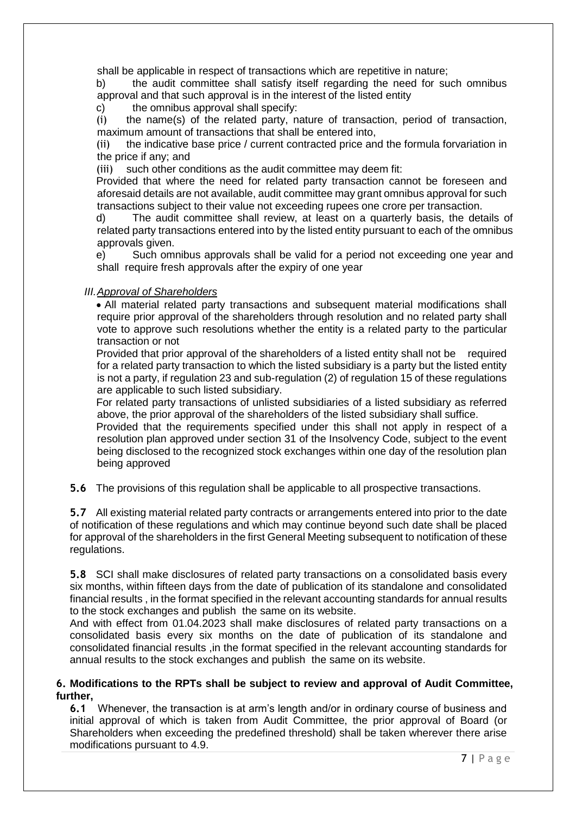shall be applicable in respect of transactions which are repetitive in nature;

b) the audit committee shall satisfy itself regarding the need for such omnibus approval and that such approval is in the interest of the listed entity

c) the omnibus approval shall specify:

(i) the name(s) of the related party, nature of transaction, period of transaction, maximum amount of transactions that shall be entered into,

(ii) the indicative base price / current contracted price and the formula forvariation in the price if any; and

(iii) such other conditions as the audit committee may deem fit:

Provided that where the need for related party transaction cannot be foreseen and aforesaid details are not available, audit committee may grant omnibus approval for such transactions subject to their value not exceeding rupees one crore per transaction.

d) The audit committee shall review, at least on a quarterly basis, the details of related party transactions entered into by the listed entity pursuant to each of the omnibus approvals given.

e) Such omnibus approvals shall be valid for a period not exceeding one year and shall require fresh approvals after the expiry of one year

#### *III.Approval of Shareholders*

 All material related party transactions and subsequent material modifications shall require prior approval of the shareholders through resolution and no related party shall vote to approve such resolutions whether the entity is a related party to the particular transaction or not

Provided that prior approval of the shareholders of a listed entity shall not be required for a related party transaction to which the listed subsidiary is a party but the listed entity is not a party, if regulation 23 and sub-regulation (2) of regulation 15 of these regulations are applicable to such listed subsidiary.

For related party transactions of unlisted subsidiaries of a listed subsidiary as referred above, the prior approval of the shareholders of the listed subsidiary shall suffice.

Provided that the requirements specified under this shall not apply in respect of a resolution plan approved under section 31 of the Insolvency Code, subject to the event being disclosed to the recognized stock exchanges within one day of the resolution plan being approved

**5.6** The provisions of this regulation shall be applicable to all prospective transactions.

**5.7** All existing material related party contracts or arrangements entered into prior to the date of notification of these regulations and which may continue beyond such date shall be placed for approval of the shareholders in the first General Meeting subsequent to notification of these regulations.

**5.8** SCI shall make disclosures of related party transactions on a consolidated basis every six months, within fifteen days from the date of publication of its standalone and consolidated financial results , in the format specified in the relevant accounting standards for annual results to the stock exchanges and publish the same on its website.

And with effect from 01.04.2023 shall make disclosures of related party transactions on a consolidated basis every six months on the date of publication of its standalone and consolidated financial results ,in the format specified in the relevant accounting standards for annual results to the stock exchanges and publish the same on its website.

#### **6. Modifications to the RPTs shall be subject to review and approval of Audit Committee, further,**

**6.1** Whenever, the transaction is at arm's length and/or in ordinary course of business and initial approval of which is taken from Audit Committee, the prior approval of Board (or Shareholders when exceeding the predefined threshold) shall be taken wherever there arise modifications pursuant to 4.9.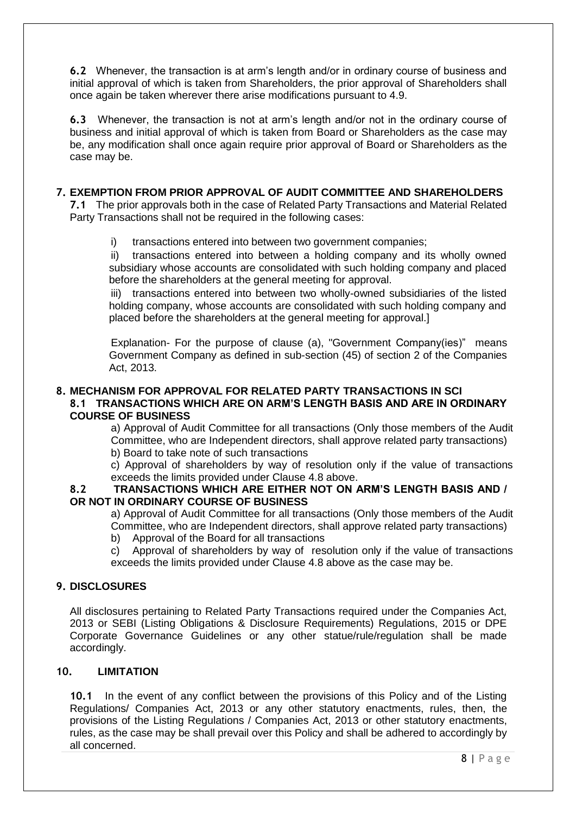**6.2** Whenever, the transaction is at arm's length and/or in ordinary course of business and initial approval of which is taken from Shareholders, the prior approval of Shareholders shall once again be taken wherever there arise modifications pursuant to 4.9.

**6.3** Whenever, the transaction is not at arm's length and/or not in the ordinary course of business and initial approval of which is taken from Board or Shareholders as the case may be, any modification shall once again require prior approval of Board or Shareholders as the case may be.

### **7. EXEMPTION FROM PRIOR APPROVAL OF AUDIT COMMITTEE AND SHAREHOLDERS**

**7.1** The prior approvals both in the case of Related Party Transactions and Material Related Party Transactions shall not be required in the following cases:

i) transactions entered into between two government companies;

ii) transactions entered into between a holding company and its wholly owned subsidiary whose accounts are consolidated with such holding company and placed before the shareholders at the general meeting for approval.

iii) transactions entered into between two wholly-owned subsidiaries of the listed holding company, whose accounts are consolidated with such holding company and placed before the shareholders at the general meeting for approval.]

Explanation- For the purpose of clause (a), "Government Company(ies)" means Government Company as defined in sub-section (45) of section 2 of the Companies Act, 2013.

### **8. MECHANISM FOR APPROVAL FOR RELATED PARTY TRANSACTIONS IN SCI 8.1 TRANSACTIONS WHICH ARE ON ARM'S LENGTH BASIS AND ARE IN ORDINARY COURSE OF BUSINESS**

a) Approval of Audit Committee for all transactions (Only those members of the Audit Committee, who are Independent directors, shall approve related party transactions) b) Board to take note of such transactions

c) Approval of shareholders by way of resolution only if the value of transactions exceeds the limits provided under Clause 4.8 above.

### **8.2 TRANSACTIONS WHICH ARE EITHER NOT ON ARM'S LENGTH BASIS AND / OR NOT IN ORDINARY COURSE OF BUSINESS**

a) Approval of Audit Committee for all transactions (Only those members of the Audit Committee, who are Independent directors, shall approve related party transactions)

b) Approval of the Board for all transactions

c) Approval of shareholders by way of resolution only if the value of transactions exceeds the limits provided under Clause 4.8 above as the case may be.

### **9. DISCLOSURES**

All disclosures pertaining to Related Party Transactions required under the Companies Act, 2013 or SEBI (Listing Obligations & Disclosure Requirements) Regulations, 2015 or DPE Corporate Governance Guidelines or any other statue/rule/regulation shall be made accordingly.

## **10. LIMITATION**

**10.1** In the event of any conflict between the provisions of this Policy and of the Listing Regulations/ Companies Act, 2013 or any other statutory enactments, rules, then, the provisions of the Listing Regulations / Companies Act, 2013 or other statutory enactments, rules, as the case may be shall prevail over this Policy and shall be adhered to accordingly by all concerned.